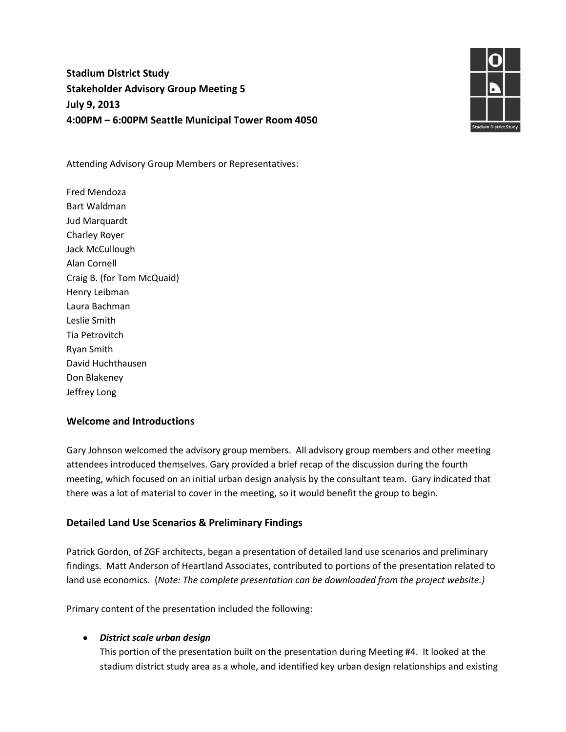# **Stadium District Study Stakeholder Advisory Group Meeting 5 July 9, 2013 4:00PM – 6:00PM Seattle Municipal Tower Room 4050**



Attending Advisory Group Members or Representatives:

Fred Mendoza Bart Waldman Jud Marquardt Charley Royer Jack McCullough Alan Cornell Craig B. (for Tom McQuaid) Henry Leibman Laura Bachman Leslie Smith Tia Petrovitch Ryan Smith David Huchthausen Don Blakeney Jeffrey Long

## **Welcome and Introductions**

Gary Johnson welcomed the advisory group members. All advisory group members and other meeting attendees introduced themselves. Gary provided a brief recap of the discussion during the fourth meeting, which focused on an initial urban design analysis by the consultant team. Gary indicated that there was a lot of material to cover in the meeting, so it would benefit the group to begin.

## **Detailed Land Use Scenarios & Preliminary Findings**

Patrick Gordon, of ZGF architects, began a presentation of detailed land use scenarios and preliminary findings. Matt Anderson of Heartland Associates, contributed to portions of the presentation related to land use economics. (*Note: The complete presentation can be downloaded from the project website.)*

Primary content of the presentation included the following:

## *District scale urban design*

This portion of the presentation built on the presentation during Meeting #4. It looked at the stadium district study area as a whole, and identified key urban design relationships and existing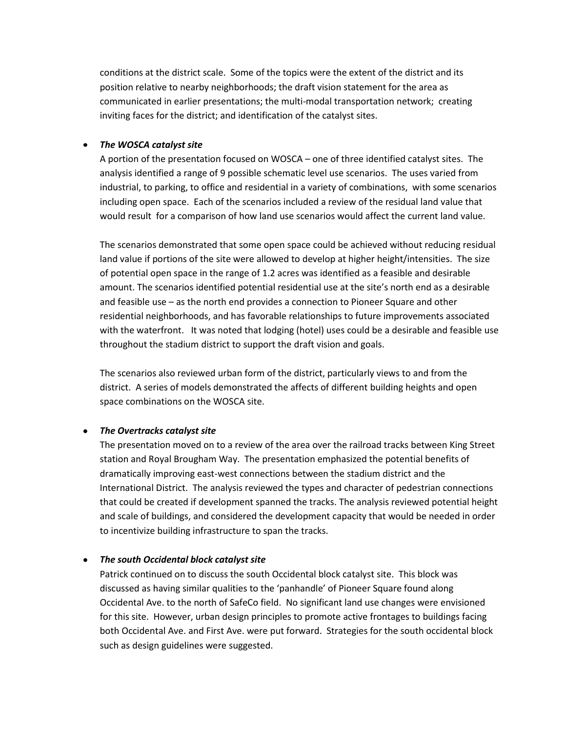conditions at the district scale. Some of the topics were the extent of the district and its position relative to nearby neighborhoods; the draft vision statement for the area as communicated in earlier presentations; the multi-modal transportation network; creating inviting faces for the district; and identification of the catalyst sites.

### *The WOSCA catalyst site*

A portion of the presentation focused on WOSCA – one of three identified catalyst sites. The analysis identified a range of 9 possible schematic level use scenarios. The uses varied from industrial, to parking, to office and residential in a variety of combinations, with some scenarios including open space. Each of the scenarios included a review of the residual land value that would result for a comparison of how land use scenarios would affect the current land value.

The scenarios demonstrated that some open space could be achieved without reducing residual land value if portions of the site were allowed to develop at higher height/intensities. The size of potential open space in the range of 1.2 acres was identified as a feasible and desirable amount. The scenarios identified potential residential use at the site's north end as a desirable and feasible use – as the north end provides a connection to Pioneer Square and other residential neighborhoods, and has favorable relationships to future improvements associated with the waterfront. It was noted that lodging (hotel) uses could be a desirable and feasible use throughout the stadium district to support the draft vision and goals.

The scenarios also reviewed urban form of the district, particularly views to and from the district. A series of models demonstrated the affects of different building heights and open space combinations on the WOSCA site.

#### *The Overtracks catalyst site*

The presentation moved on to a review of the area over the railroad tracks between King Street station and Royal Brougham Way. The presentation emphasized the potential benefits of dramatically improving east-west connections between the stadium district and the International District. The analysis reviewed the types and character of pedestrian connections that could be created if development spanned the tracks. The analysis reviewed potential height and scale of buildings, and considered the development capacity that would be needed in order to incentivize building infrastructure to span the tracks.

### *The south Occidental block catalyst site*

Patrick continued on to discuss the south Occidental block catalyst site. This block was discussed as having similar qualities to the 'panhandle' of Pioneer Square found along Occidental Ave. to the north of SafeCo field. No significant land use changes were envisioned for this site. However, urban design principles to promote active frontages to buildings facing both Occidental Ave. and First Ave. were put forward. Strategies for the south occidental block such as design guidelines were suggested.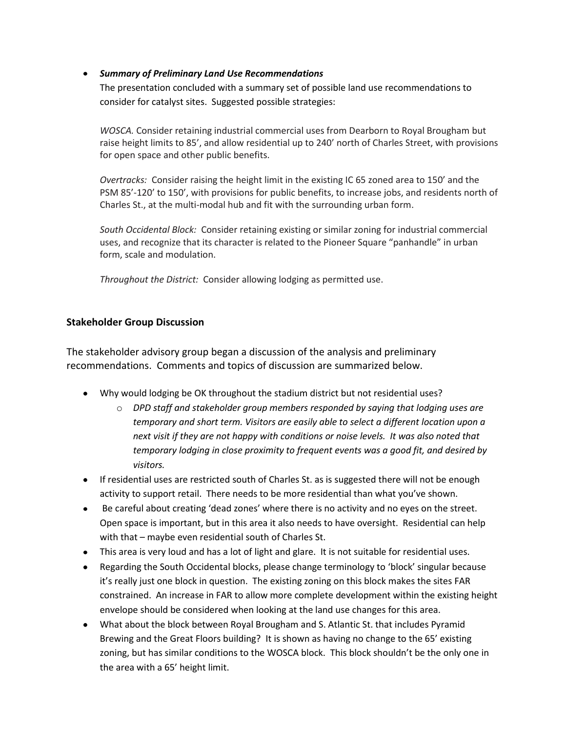## *Summary of Preliminary Land Use Recommendations*

The presentation concluded with a summary set of possible land use recommendations to consider for catalyst sites. Suggested possible strategies:

*WOSCA.* Consider retaining industrial commercial uses from Dearborn to Royal Brougham but raise height limits to 85', and allow residential up to 240' north of Charles Street, with provisions for open space and other public benefits.

*Overtracks:* Consider raising the height limit in the existing IC 65 zoned area to 150' and the PSM 85'-120' to 150', with provisions for public benefits, to increase jobs, and residents north of Charles St., at the multi-modal hub and fit with the surrounding urban form.

*South Occidental Block:* Consider retaining existing or similar zoning for industrial commercial uses, and recognize that its character is related to the Pioneer Square "panhandle" in urban form, scale and modulation.

*Throughout the District:* Consider allowing lodging as permitted use.

## **Stakeholder Group Discussion**

The stakeholder advisory group began a discussion of the analysis and preliminary recommendations. Comments and topics of discussion are summarized below.

- Why would lodging be OK throughout the stadium district but not residential uses?
	- o *DPD staff and stakeholder group members responded by saying that lodging uses are temporary and short term. Visitors are easily able to select a different location upon a next visit if they are not happy with conditions or noise levels. It was also noted that temporary lodging in close proximity to frequent events was a good fit, and desired by visitors.*
- If residential uses are restricted south of Charles St. as is suggested there will not be enough activity to support retail. There needs to be more residential than what you've shown.
- Be careful about creating 'dead zones' where there is no activity and no eyes on the street. Open space is important, but in this area it also needs to have oversight. Residential can help with that – maybe even residential south of Charles St.
- This area is very loud and has a lot of light and glare. It is not suitable for residential uses.
- Regarding the South Occidental blocks, please change terminology to 'block' singular because it's really just one block in question. The existing zoning on this block makes the sites FAR constrained. An increase in FAR to allow more complete development within the existing height envelope should be considered when looking at the land use changes for this area.
- What about the block between Royal Brougham and S. Atlantic St. that includes Pyramid Brewing and the Great Floors building? It is shown as having no change to the 65' existing zoning, but has similar conditions to the WOSCA block. This block shouldn't be the only one in the area with a 65' height limit.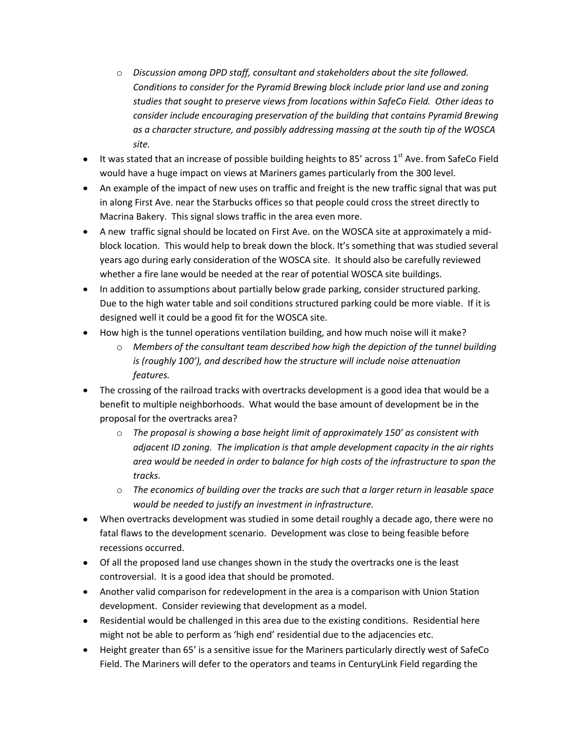- o *Discussion among DPD staff, consultant and stakeholders about the site followed. Conditions to consider for the Pyramid Brewing block include prior land use and zoning studies that sought to preserve views from locations within SafeCo Field. Other ideas to consider include encouraging preservation of the building that contains Pyramid Brewing as a character structure, and possibly addressing massing at the south tip of the WOSCA site.*
- $\bullet$  It was stated that an increase of possible building heights to 85' across 1st Ave. from SafeCo Field would have a huge impact on views at Mariners games particularly from the 300 level.
- An example of the impact of new uses on traffic and freight is the new traffic signal that was put in along First Ave. near the Starbucks offices so that people could cross the street directly to Macrina Bakery. This signal slows traffic in the area even more.
- A new traffic signal should be located on First Ave. on the WOSCA site at approximately a midblock location. This would help to break down the block. It's something that was studied several years ago during early consideration of the WOSCA site. It should also be carefully reviewed whether a fire lane would be needed at the rear of potential WOSCA site buildings.
- In addition to assumptions about partially below grade parking, consider structured parking. Due to the high water table and soil conditions structured parking could be more viable. If it is designed well it could be a good fit for the WOSCA site.
- How high is the tunnel operations ventilation building, and how much noise will it make?
	- o *Members of the consultant team described how high the depiction of the tunnel building is (roughly 100'), and described how the structure will include noise attenuation features.*
- The crossing of the railroad tracks with overtracks development is a good idea that would be a benefit to multiple neighborhoods. What would the base amount of development be in the proposal for the overtracks area?
	- o *The proposal is showing a base height limit of approximately 150' as consistent with adjacent ID zoning. The implication is that ample development capacity in the air rights area would be needed in order to balance for high costs of the infrastructure to span the tracks.*
	- o *The economics of building over the tracks are such that a larger return in leasable space would be needed to justify an investment in infrastructure.*
- When overtracks development was studied in some detail roughly a decade ago, there were no fatal flaws to the development scenario. Development was close to being feasible before recessions occurred.
- Of all the proposed land use changes shown in the study the overtracks one is the least controversial. It is a good idea that should be promoted.
- Another valid comparison for redevelopment in the area is a comparison with Union Station development. Consider reviewing that development as a model.
- Residential would be challenged in this area due to the existing conditions. Residential here might not be able to perform as 'high end' residential due to the adjacencies etc.
- Height greater than 65' is a sensitive issue for the Mariners particularly directly west of SafeCo Field. The Mariners will defer to the operators and teams in CenturyLink Field regarding the